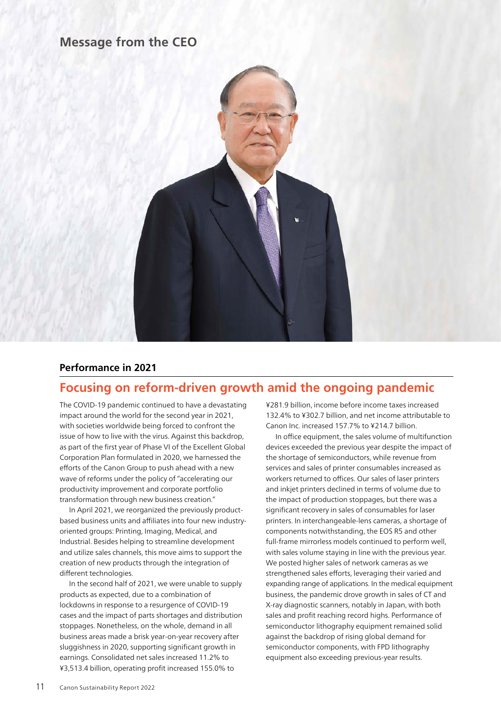### **Message from the CEO**



### **Performance in 2021**

### **Focusing on reform-driven growth amid the ongoing pandemic**

The COVID-19 pandemic continued to have a devastating impact around the world for the second year in 2021, with societies worldwide being forced to confront the issue of how to live with the virus. Against this backdrop, as part of the first year of Phase VI of the Excellent Global Corporation Plan formulated in 2020, we harnessed the efforts of the Canon Group to push ahead with a new wave of reforms under the policy of "accelerating our productivity improvement and corporate portfolio transformation through new business creation."

In April 2021, we reorganized the previously productbased business units and affiliates into four new industryoriented groups: Printing, Imaging, Medical, and Industrial. Besides helping to streamline development and utilize sales channels, this move aims to support the creation of new products through the integration of different technologies.

In the second half of 2021, we were unable to supply products as expected, due to a combination of lockdowns in response to a resurgence of COVID-19 cases and the impact of parts shortages and distribution stoppages. Nonetheless, on the whole, demand in all business areas made a brisk year-on-year recovery after sluggishness in 2020, supporting significant growth in earnings. Consolidated net sales increased 11.2% to ¥3,513.4 billion, operating profit increased 155.0% to

¥281.9 billion, income before income taxes increased 132.4% to ¥302.7 billion, and net income attributable to Canon Inc. increased 157.7% to ¥214.7 billion.

In office equipment, the sales volume of multifunction devices exceeded the previous year despite the impact of the shortage of semiconductors, while revenue from services and sales of printer consumables increased as workers returned to offices. Our sales of laser printers and inkjet printers declined in terms of volume due to the impact of production stoppages, but there was a significant recovery in sales of consumables for laser printers. In interchangeable-lens cameras, a shortage of components notwithstanding, the EOS R5 and other full-frame mirrorless models continued to perform well, with sales volume staying in line with the previous year. We posted higher sales of network cameras as we strengthened sales efforts, leveraging their varied and expanding range of applications. In the medical equipment business, the pandemic drove growth in sales of CT and X-ray diagnostic scanners, notably in Japan, with both sales and profit reaching record highs. Performance of semiconductor lithography equipment remained solid against the backdrop of rising global demand for semiconductor components, with FPD lithography equipment also exceeding previous-year results.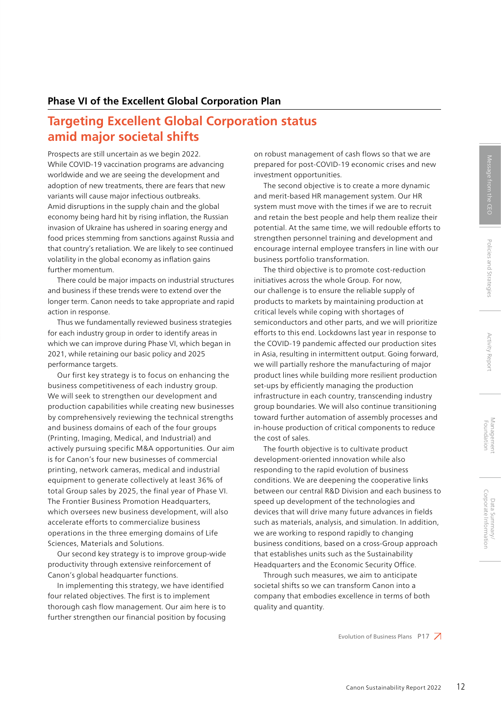### **Phase VI of the Excellent Global Corporation Plan**

# **Targeting Excellent Global Corporation status amid major societal shifts**

Prospects are still uncertain as we begin 2022. While COVID-19 vaccination programs are advancing worldwide and we are seeing the development and adoption of new treatments, there are fears that new variants will cause major infectious outbreaks. Amid disruptions in the supply chain and the global economy being hard hit by rising inflation, the Russian invasion of Ukraine has ushered in soaring energy and food prices stemming from sanctions against Russia and that country's retaliation. We are likely to see continued volatility in the global economy as inflation gains further momentum.

There could be major impacts on industrial structures and business if these trends were to extend over the longer term. Canon needs to take appropriate and rapid action in response.

Thus we fundamentally reviewed business strategies for each industry group in order to identify areas in which we can improve during Phase VI, which began in 2021, while retaining our basic policy and 2025 performance targets.

Our first key strategy is to focus on enhancing the business competitiveness of each industry group. We will seek to strengthen our development and production capabilities while creating new businesses by comprehensively reviewing the technical strengths and business domains of each of the four groups (Printing, Imaging, Medical, and Industrial) and actively pursuing specific M&A opportunities. Our aim is for Canon's four new businesses of commercial printing, network cameras, medical and industrial equipment to generate collectively at least 36% of total Group sales by 2025, the final year of Phase VI. The Frontier Business Promotion Headquarters, which oversees new business development, will also accelerate efforts to commercialize business operations in the three emerging domains of Life Sciences, Materials and Solutions.

Our second key strategy is to improve group-wide productivity through extensive reinforcement of Canon's global headquarter functions.

In implementing this strategy, we have identified four related objectives. The first is to implement thorough cash flow management. Our aim here is to further strengthen our financial position by focusing

on robust management of cash flows so that we are prepared for post-COVID-19 economic crises and new investment opportunities.

The second objective is to create a more dynamic and merit-based HR management system. Our HR system must move with the times if we are to recruit and retain the best people and help them realize their potential. At the same time, we will redouble efforts to strengthen personnel training and development and encourage internal employee transfers in line with our business portfolio transformation.

The third objective is to promote cost-reduction initiatives across the whole Group. For now, our challenge is to ensure the reliable supply of products to markets by maintaining production at critical levels while coping with shortages of semiconductors and other parts, and we will prioritize efforts to this end. Lockdowns last year in response to the COVID-19 pandemic affected our production sites in Asia, resulting in intermittent output. Going forward, we will partially reshore the manufacturing of major product lines while building more resilient production set-ups by efficiently managing the production infrastructure in each country, transcending industry group boundaries. We will also continue transitioning toward further automation of assembly processes and in-house production of critical components to reduce the cost of sales.

The fourth objective is to cultivate product development-oriented innovation while also responding to the rapid evolution of business conditions. We are deepening the cooperative links between our central R&D Division and each business to speed up development of the technologies and devices that will drive many future advances in fields such as materials, analysis, and simulation. In addition, we are working to respond rapidly to changing business conditions, based on a cross-Group approach that establishes units such as the Sustainability Headquarters and the Economic Security Office.

Through such measures, we aim to anticipate societal shifts so we can transform Canon into a company that embodies excellence in terms of both quality and quantity.

Evolution of Business Plans P17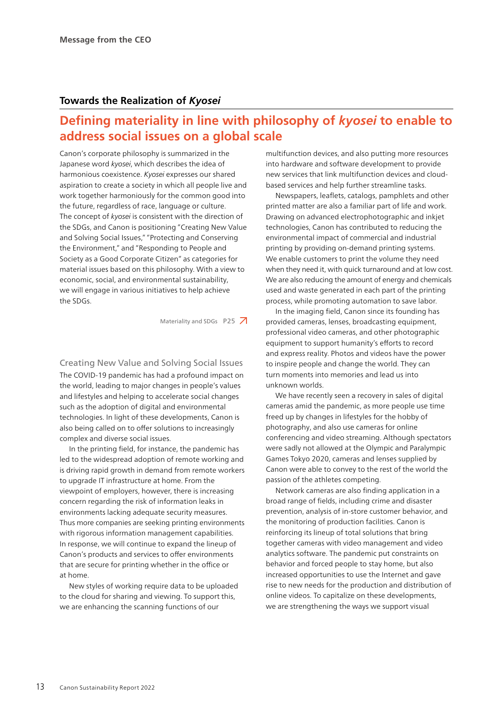#### **Towards the Realization of** *Kyosei*

## **Defining materiality in line with philosophy of** *kyosei* **to enable to address social issues on a global scale**

Canon's corporate philosophy is summarized in the Japanese word *kyosei*, which describes the idea of harmonious coexistence. *Kyosei* expresses our shared aspiration to create a society in which all people live and work together harmoniously for the common good into the future, regardless of race, language or culture. The concept of *kyosei* is consistent with the direction of the SDGs, and Canon is positioning "Creating New Value and Solving Social Issues," "Protecting and Conserving the Environment," and "Responding to People and Society as a Good Corporate Citizen" as categories for material issues based on this philosophy. With a view to economic, social, and environmental sustainability, we will engage in various initiatives to help achieve the SDGs.

Materiality and SDGs  $P25$  7

Creating New Value and Solving Social Issues The COVID-19 pandemic has had a profound impact on the world, leading to major changes in people's values and lifestyles and helping to accelerate social changes such as the adoption of digital and environmental technologies. In light of these developments, Canon is also being called on to offer solutions to increasingly complex and diverse social issues.

In the printing field, for instance, the pandemic has led to the widespread adoption of remote working and is driving rapid growth in demand from remote workers to upgrade IT infrastructure at home. From the viewpoint of employers, however, there is increasing concern regarding the risk of information leaks in environments lacking adequate security measures. Thus more companies are seeking printing environments with rigorous information management capabilities. In response, we will continue to expand the lineup of Canon's products and services to offer environments that are secure for printing whether in the office or at home.

New styles of working require data to be uploaded to the cloud for sharing and viewing. To support this, we are enhancing the scanning functions of our

multifunction devices, and also putting more resources into hardware and software development to provide new services that link multifunction devices and cloudbased services and help further streamline tasks.

Newspapers, leaflets, catalogs, pamphlets and other printed matter are also a familiar part of life and work. Drawing on advanced electrophotographic and inkjet technologies, Canon has contributed to reducing the environmental impact of commercial and industrial printing by providing on-demand printing systems. We enable customers to print the volume they need when they need it, with quick turnaround and at low cost. We are also reducing the amount of energy and chemicals used and waste generated in each part of the printing process, while promoting automation to save labor.

In the imaging field, Canon since its founding has provided cameras, lenses, broadcasting equipment, professional video cameras, and other photographic equipment to support humanity's efforts to record and express reality. Photos and videos have the power to inspire people and change the world. They can turn moments into memories and lead us into unknown worlds.

We have recently seen a recovery in sales of digital cameras amid the pandemic, as more people use time freed up by changes in lifestyles for the hobby of photography, and also use cameras for online conferencing and video streaming. Although spectators were sadly not allowed at the Olympic and Paralympic Games Tokyo 2020, cameras and lenses supplied by Canon were able to convey to the rest of the world the passion of the athletes competing.

Network cameras are also finding application in a broad range of fields, including crime and disaster prevention, analysis of in-store customer behavior, and the monitoring of production facilities. Canon is reinforcing its lineup of total solutions that bring together cameras with video management and video analytics software. The pandemic put constraints on behavior and forced people to stay home, but also increased opportunities to use the Internet and gave rise to new needs for the production and distribution of online videos. To capitalize on these developments, we are strengthening the ways we support visual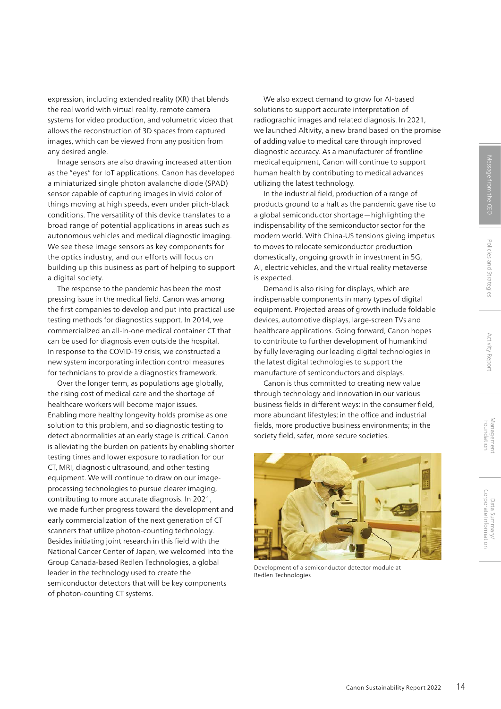expression, including extended reality (XR) that blends the real world with virtual reality, remote camera systems for video production, and volumetric video that allows the reconstruction of 3D spaces from captured images, which can be viewed from any position from any desired angle.

Image sensors are also drawing increased attention as the "eyes" for IoT applications. Canon has developed a miniaturized single photon avalanche diode (SPAD) sensor capable of capturing images in vivid color of things moving at high speeds, even under pitch-black conditions. The versatility of this device translates to a broad range of potential applications in areas such as autonomous vehicles and medical diagnostic imaging. We see these image sensors as key components for the optics industry, and our efforts will focus on building up this business as part of helping to support a digital society.

The response to the pandemic has been the most pressing issue in the medical field. Canon was among the first companies to develop and put into practical use testing methods for diagnostics support. In 2014, we commercialized an all-in-one medical container CT that can be used for diagnosis even outside the hospital. In response to the COVID-19 crisis, we constructed a new system incorporating infection control measures for technicians to provide a diagnostics framework.

Over the longer term, as populations age globally, the rising cost of medical care and the shortage of healthcare workers will become major issues. Enabling more healthy longevity holds promise as one solution to this problem, and so diagnostic testing to detect abnormalities at an early stage is critical. Canon is alleviating the burden on patients by enabling shorter testing times and lower exposure to radiation for our CT, MRI, diagnostic ultrasound, and other testing equipment. We will continue to draw on our imageprocessing technologies to pursue clearer imaging, contributing to more accurate diagnosis. In 2021, we made further progress toward the development and early commercialization of the next generation of CT scanners that utilize photon-counting technology. Besides initiating joint research in this field with the National Cancer Center of Japan, we welcomed into the Group Canada-based Redlen Technologies, a global leader in the technology used to create the semiconductor detectors that will be key components of photon-counting CT systems.

We also expect demand to grow for AI-based solutions to support accurate interpretation of radiographic images and related diagnosis. In 2021, we launched Altivity, a new brand based on the promise of adding value to medical care through improved diagnostic accuracy. As a manufacturer of frontline medical equipment, Canon will continue to support human health by contributing to medical advances utilizing the latest technology.

In the industrial field, production of a range of products ground to a halt as the pandemic gave rise to a global semiconductor shortage—highlighting the indispensability of the semiconductor sector for the modern world. With China-US tensions giving impetus to moves to relocate semiconductor production domestically, ongoing growth in investment in 5G, AI, electric vehicles, and the virtual reality metaverse is expected.

Demand is also rising for displays, which are indispensable components in many types of digital equipment. Projected areas of growth include foldable devices, automotive displays, large-screen TVs and healthcare applications. Going forward, Canon hopes to contribute to further development of humankind by fully leveraging our leading digital technologies in the latest digital technologies to support the manufacture of semiconductors and displays.

Canon is thus committed to creating new value through technology and innovation in our various business fields in different ways: in the consumer field, more abundant lifestyles; in the office and industrial fields, more productive business environments; in the society field, safer, more secure societies.



Development of a semiconductor detector module at Redlen Technologies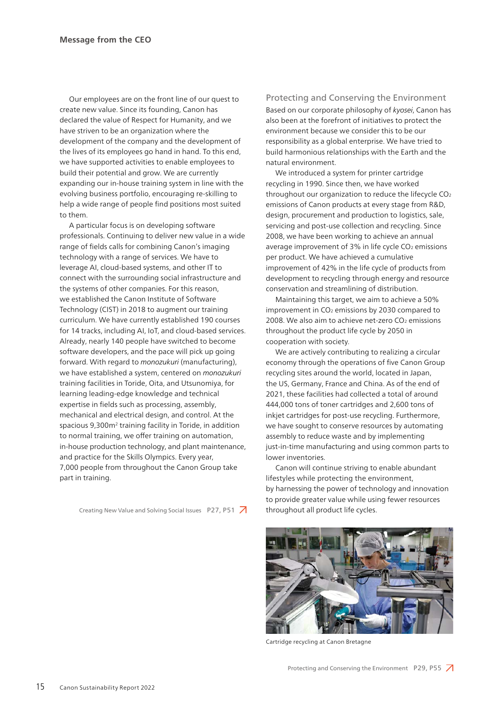Our employees are on the front line of our quest to create new value. Since its founding, Canon has declared the value of Respect for Humanity, and we have striven to be an organization where the development of the company and the development of the lives of its employees go hand in hand. To this end, we have supported activities to enable employees to build their potential and grow. We are currently expanding our in-house training system in line with the evolving business portfolio, encouraging re-skilling to help a wide range of people find positions most suited to them.

A particular focus is on developing software professionals. Continuing to deliver new value in a wide range of fields calls for combining Canon's imaging technology with a range of services. We have to leverage AI, cloud-based systems, and other IT to connect with the surrounding social infrastructure and the systems of other companies. For this reason, we established the Canon Institute of Software Technology (CIST) in 2018 to augment our training curriculum. We have currently established 190 courses for 14 tracks, including AI, IoT, and cloud-based services. Already, nearly 140 people have switched to become software developers, and the pace will pick up going forward. With regard to *monozukuri* (manufacturing), we have established a system, centered on *monozukuri* training facilities in Toride, Oita, and Utsunomiya, for learning leading-edge knowledge and technical expertise in fields such as processing, assembly, mechanical and electrical design, and control. At the spacious 9,300m<sup>2</sup> training facility in Toride, in addition to normal training, we offer training on automation, in-house production technology, and plant maintenance, and practice for the Skills Olympics. Every year, 7,000 people from throughout the Canon Group take part in training.

Creating New Value and Solving Social Issues P27, P51 7

#### Protecting and Conserving the Environment

Based on our corporate philosophy of *kyosei*, Canon has also been at the forefront of initiatives to protect the environment because we consider this to be our responsibility as a global enterprise. We have tried to build harmonious relationships with the Earth and the natural environment.

We introduced a system for printer cartridge recycling in 1990. Since then, we have worked throughout our organization to reduce the lifecycle CO2 emissions of Canon products at every stage from R&D, design, procurement and production to logistics, sale, servicing and post-use collection and recycling. Since 2008, we have been working to achieve an annual average improvement of 3% in life cycle CO<sub>2</sub> emissions per product. We have achieved a cumulative improvement of 42% in the life cycle of products from development to recycling through energy and resource conservation and streamlining of distribution.

Maintaining this target, we aim to achieve a 50% improvement in  $CO<sub>2</sub>$  emissions by 2030 compared to 2008. We also aim to achieve net-zero CO<sub>2</sub> emissions throughout the product life cycle by 2050 in cooperation with society.

We are actively contributing to realizing a circular economy through the operations of five Canon Group recycling sites around the world, located in Japan, the US, Germany, France and China. As of the end of 2021, these facilities had collected a total of around 444,000 tons of toner cartridges and 2,600 tons of inkjet cartridges for post-use recycling. Furthermore, we have sought to conserve resources by automating assembly to reduce waste and by implementing just-in-time manufacturing and using common parts to lower inventories.

Canon will continue striving to enable abundant lifestyles while protecting the environment, by harnessing the power of technology and innovation to provide greater value while using fewer resources throughout all product life cycles.



Cartridge recycling at Canon Bretagne